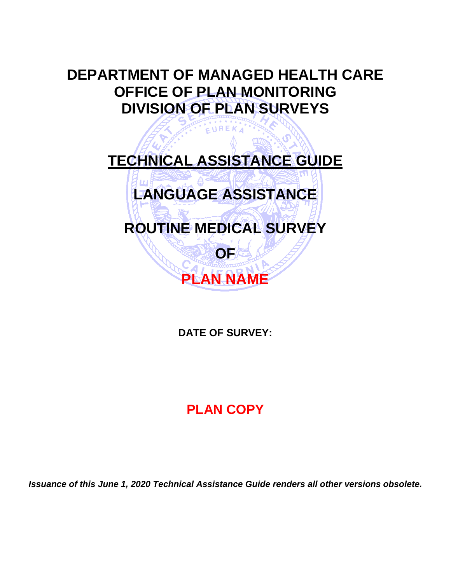# **DEPARTMENT OF MANAGED HEALTH CARE OFFICE OF PLAN MONITORING DIVISION OF PLAN SURVEYS**

# **TECHNICAL ASSISTANCE GUIDE**

EUREKA

# **LANGUAGE ASSISTANCE**

# **ROUTINE MEDICAL SURVEY**

**OF**

**PLAN NAME**

# **DATE OF SURVEY:**

# **PLAN COPY**

*Issuance of this June 1, 2020 Technical Assistance Guide renders all other versions obsolete.*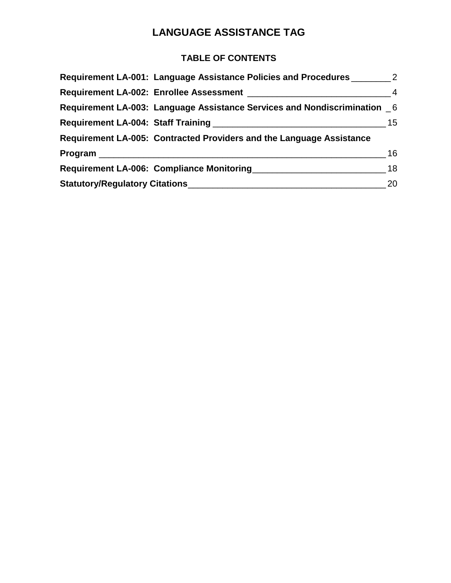# **LANGUAGE ASSISTANCE TAG**

### **TABLE OF CONTENTS**

| Requirement LA-001: Language Assistance Policies and Procedures 2        |    |
|--------------------------------------------------------------------------|----|
|                                                                          |    |
| Requirement LA-003: Language Assistance Services and Nondiscrimination 6 |    |
|                                                                          |    |
| Requirement LA-005: Contracted Providers and the Language Assistance     |    |
|                                                                          | 16 |
| Requirement LA-006: Compliance Monitoring 2001 2012 18                   |    |
|                                                                          | 20 |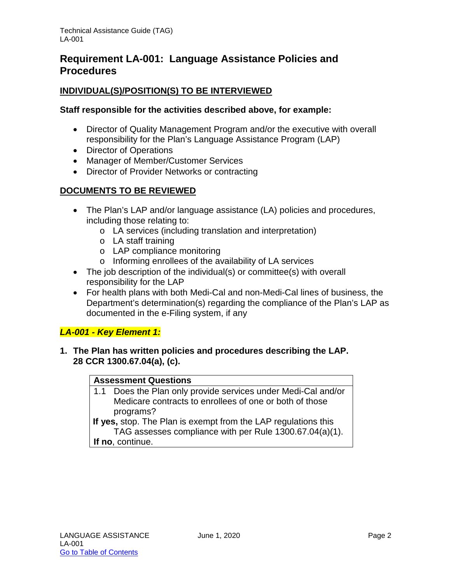# <span id="page-2-0"></span>**Requirement LA-001: Language Assistance Policies and Procedures**

#### **INDIVIDUAL(S)/POSITION(S) TO BE INTERVIEWED**

#### **Staff responsible for the activities described above, for example:**

- Director of Quality Management Program and/or the executive with overall responsibility for the Plan's Language Assistance Program (LAP)
- Director of Operations
- Manager of Member/Customer Services
- Director of Provider Networks or contracting

#### **DOCUMENTS TO BE REVIEWED**

- The Plan's LAP and/or language assistance (LA) policies and procedures, including those relating to:
	- o LA services (including translation and interpretation)
	- o LA staff training
	- o LAP compliance monitoring
	- o Informing enrollees of the availability of LA services
- The job description of the individual(s) or committee(s) with overall responsibility for the LAP
- For health plans with both Medi-Cal and non-Medi-Cal lines of business, the Department's determination(s) regarding the compliance of the Plan's LAP as documented in the e-Filing system, if any

#### *LA-001 - Key Element 1:*

**1. The Plan has written policies and procedures describing the LAP. 28 CCR 1300.67.04(a), (c).**

#### **Assessment Questions**

1.1 Does the Plan only provide services under Medi-Cal and/or Medicare contracts to enrollees of one or both of those programs?

**If yes,** stop. The Plan is exempt from the LAP regulations this TAG assesses compliance with per Rule 1300.67.04(a)(1). **If no**, continue.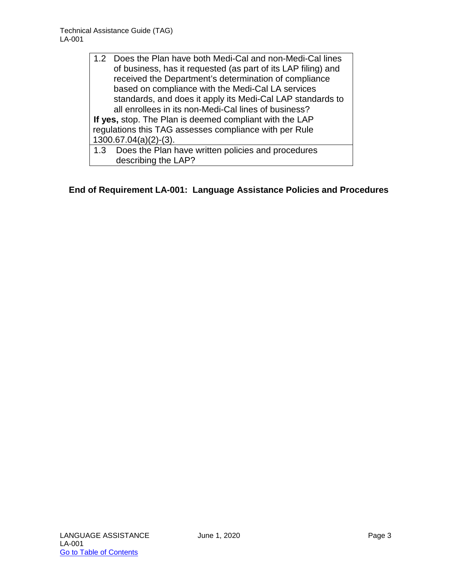- 1.2 Does the Plan have both Medi-Cal and non-Medi-Cal lines of business, has it requested (as part of its LAP filing) and received the Department's determination of compliance based on compliance with the Medi-Cal LA services standards, and does it apply its Medi-Cal LAP standards to all enrollees in its non-Medi-Cal lines of business? **If yes,** stop. The Plan is deemed compliant with the LAP regulations this TAG assesses compliance with per Rule 1300.67.04(a)(2)-(3). 1.3 Does the Plan have written policies and procedures
	- describing the LAP?

#### **End of Requirement LA-001: Language Assistance Policies and Procedures**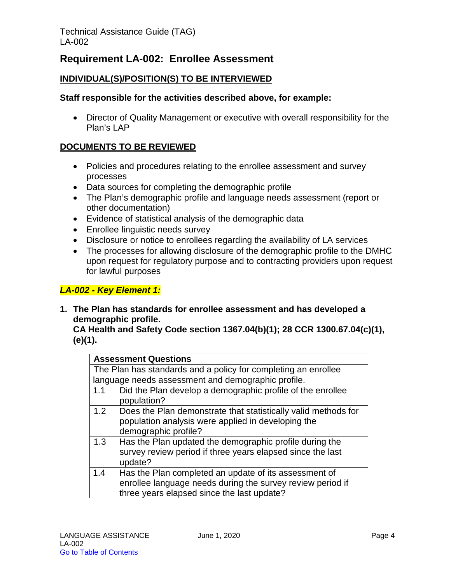## <span id="page-4-0"></span>**Requirement LA-002: Enrollee Assessment**

#### **INDIVIDUAL(S)/POSITION(S) TO BE INTERVIEWED**

#### **Staff responsible for the activities described above, for example:**

• Director of Quality Management or executive with overall responsibility for the Plan's LAP

#### **DOCUMENTS TO BE REVIEWED**

- Policies and procedures relating to the enrollee assessment and survey processes
- Data sources for completing the demographic profile
- The Plan's demographic profile and language needs assessment (report or other documentation)
- Evidence of statistical analysis of the demographic data
- Enrollee linguistic needs survey
- Disclosure or notice to enrollees regarding the availability of LA services
- The processes for allowing disclosure of the demographic profile to the DMHC upon request for regulatory purpose and to contracting providers upon request for lawful purposes

#### *LA-002 - Key Element 1:*

**1. The Plan has standards for enrollee assessment and has developed a demographic profile.** 

**CA Health and Safety Code section 1367.04(b)(1); 28 CCR 1300.67.04(c)(1), (e)(1).**

|                                                                | <b>Assessment Questions</b>                                    |
|----------------------------------------------------------------|----------------------------------------------------------------|
| The Plan has standards and a policy for completing an enrollee |                                                                |
|                                                                | language needs assessment and demographic profile.             |
| 1.1                                                            | Did the Plan develop a demographic profile of the enrollee     |
|                                                                | population?                                                    |
| 1.2                                                            | Does the Plan demonstrate that statistically valid methods for |
|                                                                | population analysis were applied in developing the             |
|                                                                | demographic profile?                                           |
| 1.3                                                            | Has the Plan updated the demographic profile during the        |
|                                                                | survey review period if three years elapsed since the last     |
|                                                                | update?                                                        |
| 1.4                                                            | Has the Plan completed an update of its assessment of          |
|                                                                | enrollee language needs during the survey review period if     |
|                                                                | three years elapsed since the last update?                     |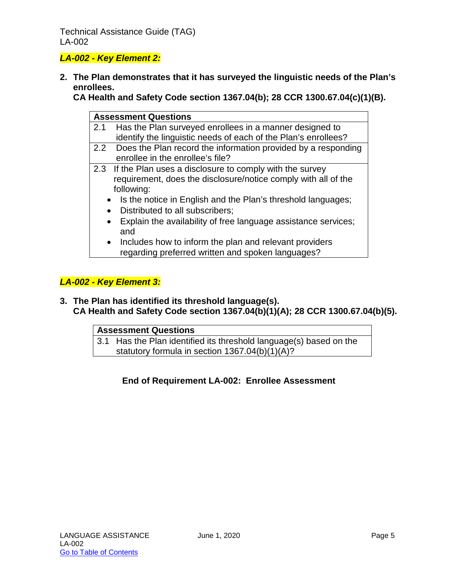Technical Assistance Guide (TAG) LA-002

#### *LA-002 - Key Element 2:*

**2. The Plan demonstrates that it has surveyed the linguistic needs of the Plan's enrollees.** 

**CA Health and Safety Code section 1367.04(b); 28 CCR 1300.67.04(c)(1)(B).**

|     | <b>Assessment Questions</b>                                                 |
|-----|-----------------------------------------------------------------------------|
| 2.1 | Has the Plan surveyed enrollees in a manner designed to                     |
|     | identify the linguistic needs of each of the Plan's enrollees?              |
|     | 2.2 Does the Plan record the information provided by a responding           |
|     | enrollee in the enrollee's file?                                            |
|     | 2.3 If the Plan uses a disclosure to comply with the survey                 |
|     | requirement, does the disclosure/notice comply with all of the              |
|     | following:                                                                  |
|     | • Is the notice in English and the Plan's threshold languages;              |
|     | • Distributed to all subscribers;                                           |
|     | Explain the availability of free language assistance services;<br>$\bullet$ |
|     | and                                                                         |
|     | • Includes how to inform the plan and relevant providers                    |
|     | regarding preferred written and spoken languages?                           |

#### *LA-002 - Key Element 3:*

**3. The Plan has identified its threshold language(s). CA Health and Safety Code section 1367.04(b)(1)(A); 28 CCR 1300.67.04(b)(5).**

| <b>Assessment Questions</b> |                                                                    |
|-----------------------------|--------------------------------------------------------------------|
|                             | 3.1 Has the Plan identified its threshold language(s) based on the |
|                             | statutory formula in section 1367.04(b)(1)(A)?                     |

#### **End of Requirement LA-002: Enrollee Assessment**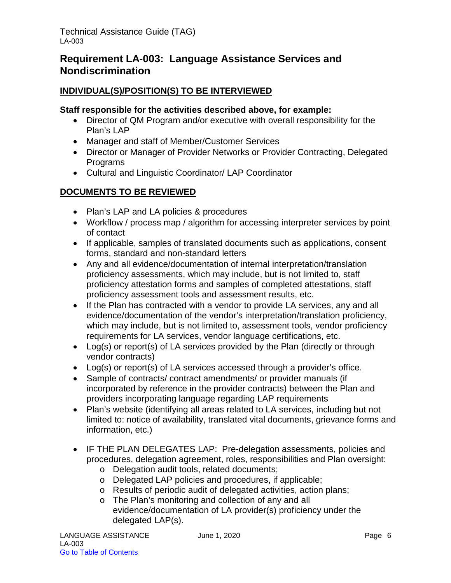# <span id="page-6-0"></span>**Requirement LA-003: Language Assistance Services and Nondiscrimination**

#### **INDIVIDUAL(S)/POSITION(S) TO BE INTERVIEWED**

#### **Staff responsible for the activities described above, for example:**

- Director of QM Program and/or executive with overall responsibility for the Plan's LAP
- Manager and staff of Member/Customer Services
- Director or Manager of Provider Networks or Provider Contracting, Delegated Programs
- Cultural and Linguistic Coordinator/ LAP Coordinator

#### **DOCUMENTS TO BE REVIEWED**

- Plan's LAP and LA policies & procedures
- Workflow / process map / algorithm for accessing interpreter services by point of contact
- If applicable, samples of translated documents such as applications, consent forms, standard and non-standard letters
- Any and all evidence/documentation of internal interpretation/translation proficiency assessments, which may include, but is not limited to, staff proficiency attestation forms and samples of completed attestations, staff proficiency assessment tools and assessment results, etc.
- If the Plan has contracted with a vendor to provide LA services, any and all evidence/documentation of the vendor's interpretation/translation proficiency, which may include, but is not limited to, assessment tools, vendor proficiency requirements for LA services, vendor language certifications, etc.
- Log(s) or report(s) of LA services provided by the Plan (directly or through vendor contracts)
- Log(s) or report(s) of LA services accessed through a provider's office.
- Sample of contracts/ contract amendments/ or provider manuals (if incorporated by reference in the provider contracts) between the Plan and providers incorporating language regarding LAP requirements
- Plan's website (identifying all areas related to LA services, including but not limited to: notice of availability, translated vital documents, grievance forms and information, etc.)
- IF THE PLAN DELEGATES LAP: Pre-delegation assessments, policies and procedures, delegation agreement, roles, responsibilities and Plan oversight:
	- o Delegation audit tools, related documents;
	- o Delegated LAP policies and procedures, if applicable;
	- o Results of periodic audit of delegated activities, action plans;
	- o The Plan's monitoring and collection of any and all evidence/documentation of LA provider(s) proficiency under the delegated LAP(s).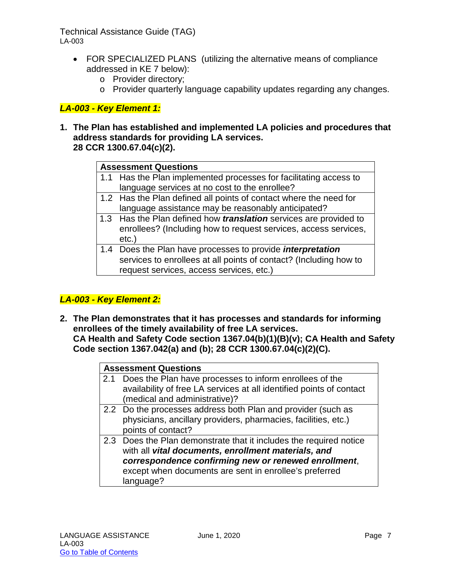#### Technical Assistance Guide (TAG) LA-003

- FOR SPECIALIZED PLANS (utilizing the alternative means of compliance addressed in KE 7 below):
	- o Provider directory;
	- o Provider quarterly language capability updates regarding any changes.

#### *LA-003 - Key Element 1:*

**1. The Plan has established and implemented LA policies and procedures that address standards for providing LA services. 28 CCR 1300.67.04(c)(2).**

| <b>Assessment Questions</b>                                              |
|--------------------------------------------------------------------------|
| 1.1 Has the Plan implemented processes for facilitating access to        |
| language services at no cost to the enrollee?                            |
| 1.2 Has the Plan defined all points of contact where the need for        |
| language assistance may be reasonably anticipated?                       |
| 1.3 Has the Plan defined how <i>translation</i> services are provided to |
| enrollees? (Including how to request services, access services,          |
| $etc.$ )                                                                 |
| 1.4 Does the Plan have processes to provide <i>interpretation</i>        |
| services to enrollees at all points of contact? (Including how to        |
| request services, access services, etc.)                                 |

#### *LA-003 - Key Element 2:*

**2. The Plan demonstrates that it has processes and standards for informing enrollees of the timely availability of free LA services. CA Health and Safety Code section 1367.04(b)(1)(B)(v); CA Health and Safety Code section 1367.042(a) and (b); 28 CCR 1300.67.04(c)(2)(C).**

|     | <b>Assessment Questions</b>                                          |
|-----|----------------------------------------------------------------------|
| 2.1 | Does the Plan have processes to inform enrollees of the              |
|     | availability of free LA services at all identified points of contact |
|     | (medical and administrative)?                                        |
|     | 2.2 Do the processes address both Plan and provider (such as         |
|     | physicians, ancillary providers, pharmacies, facilities, etc.)       |
|     | points of contact?                                                   |
|     | 2.3 Does the Plan demonstrate that it includes the required notice   |
|     | with all vital documents, enrollment materials, and                  |
|     | correspondence confirming new or renewed enrollment,                 |
|     | except when documents are sent in enrollee's preferred               |
|     | language?                                                            |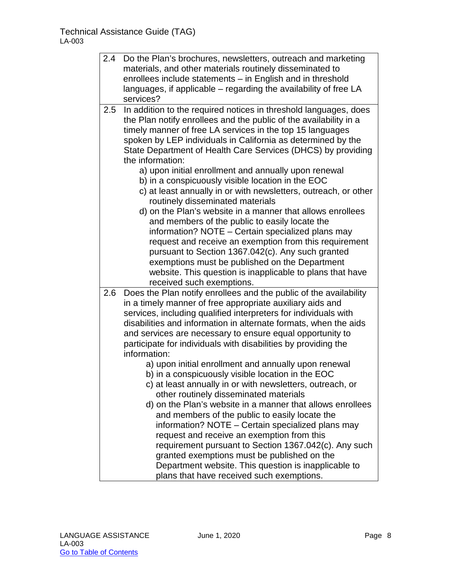| 2.4 | Do the Plan's brochures, newsletters, outreach and marketing<br>materials, and other materials routinely disseminated to<br>enrollees include statements - in English and in threshold<br>languages, if applicable – regarding the availability of free LA<br>services?                                                                                                                                                                                                                                                                                                                                                                                                                                                                                                                                                                                                                                                                                                                                                                                                  |
|-----|--------------------------------------------------------------------------------------------------------------------------------------------------------------------------------------------------------------------------------------------------------------------------------------------------------------------------------------------------------------------------------------------------------------------------------------------------------------------------------------------------------------------------------------------------------------------------------------------------------------------------------------------------------------------------------------------------------------------------------------------------------------------------------------------------------------------------------------------------------------------------------------------------------------------------------------------------------------------------------------------------------------------------------------------------------------------------|
| 2.5 | In addition to the required notices in threshold languages, does<br>the Plan notify enrollees and the public of the availability in a<br>timely manner of free LA services in the top 15 languages<br>spoken by LEP individuals in California as determined by the<br>State Department of Health Care Services (DHCS) by providing<br>the information:<br>a) upon initial enrollment and annually upon renewal<br>b) in a conspicuously visible location in the EOC<br>c) at least annually in or with newsletters, outreach, or other<br>routinely disseminated materials<br>d) on the Plan's website in a manner that allows enrollees<br>and members of the public to easily locate the<br>information? NOTE - Certain specialized plans may<br>request and receive an exemption from this requirement<br>pursuant to Section 1367.042(c). Any such granted<br>exemptions must be published on the Department<br>website. This question is inapplicable to plans that have<br>received such exemptions.                                                               |
| 2.6 | Does the Plan notify enrollees and the public of the availability<br>in a timely manner of free appropriate auxiliary aids and<br>services, including qualified interpreters for individuals with<br>disabilities and information in alternate formats, when the aids<br>and services are necessary to ensure equal opportunity to<br>participate for individuals with disabilities by providing the<br>information:<br>a) upon initial enrollment and annually upon renewal<br>b) in a conspicuously visible location in the EOC<br>c) at least annually in or with newsletters, outreach, or<br>other routinely disseminated materials<br>d) on the Plan's website in a manner that allows enrollees<br>and members of the public to easily locate the<br>information? NOTE - Certain specialized plans may<br>request and receive an exemption from this<br>requirement pursuant to Section 1367.042(c). Any such<br>granted exemptions must be published on the<br>Department website. This question is inapplicable to<br>plans that have received such exemptions. |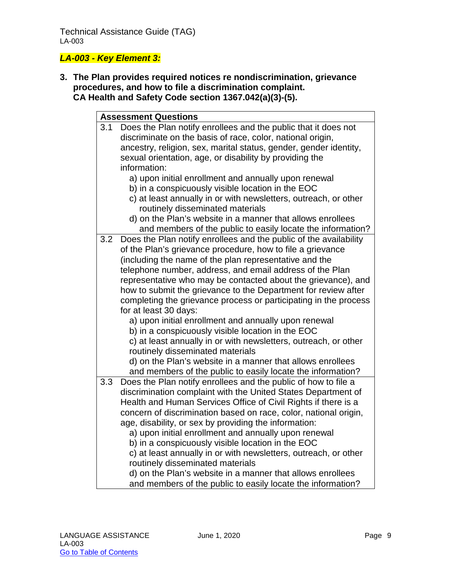## *LA-003 - Key Element 3:*

**3. The Plan provides required notices re nondiscrimination, grievance procedures, and how to file a discrimination complaint. CA Health and Safety Code section 1367.042(a)(3)-(5).**

|     | <b>Assessment Questions</b>                                       |
|-----|-------------------------------------------------------------------|
| 3.1 | Does the Plan notify enrollees and the public that it does not    |
|     | discriminate on the basis of race, color, national origin,        |
|     | ancestry, religion, sex, marital status, gender, gender identity, |
|     | sexual orientation, age, or disability by providing the           |
|     | information:                                                      |
|     | a) upon initial enrollment and annually upon renewal              |
|     | b) in a conspicuously visible location in the EOC                 |
|     | c) at least annually in or with newsletters, outreach, or other   |
|     | routinely disseminated materials                                  |
|     | d) on the Plan's website in a manner that allows enrollees        |
|     | and members of the public to easily locate the information?       |
| 3.2 | Does the Plan notify enrollees and the public of the availability |
|     | of the Plan's grievance procedure, how to file a grievance        |
|     | (including the name of the plan representative and the            |
|     | telephone number, address, and email address of the Plan          |
|     | representative who may be contacted about the grievance), and     |
|     | how to submit the grievance to the Department for review after    |
|     | completing the grievance process or participating in the process  |
|     | for at least 30 days:                                             |
|     | a) upon initial enrollment and annually upon renewal              |
|     | b) in a conspicuously visible location in the EOC                 |
|     | c) at least annually in or with newsletters, outreach, or other   |
|     | routinely disseminated materials                                  |
|     | d) on the Plan's website in a manner that allows enrollees        |
|     | and members of the public to easily locate the information?       |
| 3.3 | Does the Plan notify enrollees and the public of how to file a    |
|     | discrimination complaint with the United States Department of     |
|     | Health and Human Services Office of Civil Rights if there is a    |
|     | concern of discrimination based on race, color, national origin,  |
|     | age, disability, or sex by providing the information:             |
|     | a) upon initial enrollment and annually upon renewal              |
|     | b) in a conspicuously visible location in the EOC                 |
|     | c) at least annually in or with newsletters, outreach, or other   |
|     | routinely disseminated materials                                  |
|     | d) on the Plan's website in a manner that allows enrollees        |
|     | and members of the public to easily locate the information?       |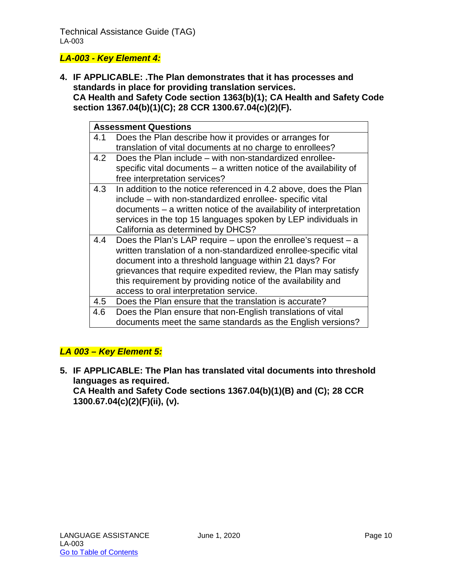#### *LA-003 - Key Element 4:*

**4. IF APPLICABLE: .The Plan demonstrates that it has processes and standards in place for providing translation services. CA Health and Safety Code section 1363(b)(1); CA Health and Safety Code section 1367.04(b)(1)(C); 28 CCR 1300.67.04(c)(2)(F).**

|     | <b>Assessment Questions</b>                                        |
|-----|--------------------------------------------------------------------|
| 4.1 | Does the Plan describe how it provides or arranges for             |
|     | translation of vital documents at no charge to enrollees?          |
| 4.2 | Does the Plan include – with non-standardized enrollee-            |
|     | specific vital documents – a written notice of the availability of |
|     | free interpretation services?                                      |
| 4.3 | In addition to the notice referenced in 4.2 above, does the Plan   |
|     | include - with non-standardized enrollee- specific vital           |
|     | documents - a written notice of the availability of interpretation |
|     | services in the top 15 languages spoken by LEP individuals in      |
|     | California as determined by DHCS?                                  |
| 4.4 | Does the Plan's LAP require $-$ upon the enrollee's request $-$ a  |
|     | written translation of a non-standardized enrollee-specific vital  |
|     | document into a threshold language within 21 days? For             |
|     | grievances that require expedited review, the Plan may satisfy     |
|     | this requirement by providing notice of the availability and       |
|     | access to oral interpretation service.                             |
| 4.5 | Does the Plan ensure that the translation is accurate?             |
| 4.6 | Does the Plan ensure that non-English translations of vital        |
|     | documents meet the same standards as the English versions?         |

#### *LA 003 – Key Element 5:*

**5. IF APPLICABLE: The Plan has translated vital documents into threshold languages as required. CA Health and Safety Code sections 1367.04(b)(1)(B) and (C); 28 CCR** 

**1300.67.04(c)(2)(F)(ii), (v).**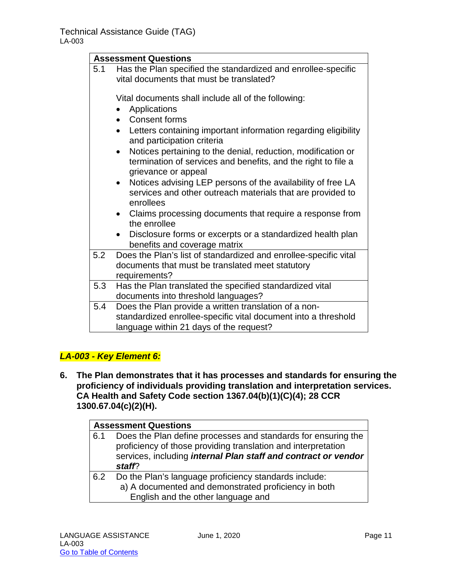|     | <b>Assessment Questions</b>                                                                                                                                        |
|-----|--------------------------------------------------------------------------------------------------------------------------------------------------------------------|
| 5.1 | Has the Plan specified the standardized and enrollee-specific<br>vital documents that must be translated?                                                          |
|     | Vital documents shall include all of the following:<br>Applications<br><b>Consent forms</b><br>Letters containing important information regarding eligibility      |
|     | and participation criteria                                                                                                                                         |
|     | Notices pertaining to the denial, reduction, modification or<br>$\bullet$<br>termination of services and benefits, and the right to file a<br>grievance or appeal  |
|     | Notices advising LEP persons of the availability of free LA<br>$\bullet$<br>services and other outreach materials that are provided to<br>enrollees                |
|     | Claims processing documents that require a response from<br>$\bullet$<br>the enrollee                                                                              |
|     | Disclosure forms or excerpts or a standardized health plan<br>benefits and coverage matrix                                                                         |
| 5.2 | Does the Plan's list of standardized and enrollee-specific vital<br>documents that must be translated meet statutory<br>requirements?                              |
| 5.3 | Has the Plan translated the specified standardized vital<br>documents into threshold languages?                                                                    |
| 5.4 | Does the Plan provide a written translation of a non-<br>standardized enrollee-specific vital document into a threshold<br>language within 21 days of the request? |

#### *LA-003 - Key Element 6:*

**6. The Plan demonstrates that it has processes and standards for ensuring the proficiency of individuals providing translation and interpretation services. CA Health and Safety Code section 1367.04(b)(1)(C)(4); 28 CCR 1300.67.04(c)(2)(H).**

|     | <b>Assessment Questions</b>                                                                                                                                                                                       |
|-----|-------------------------------------------------------------------------------------------------------------------------------------------------------------------------------------------------------------------|
| 6.1 | Does the Plan define processes and standards for ensuring the<br>proficiency of those providing translation and interpretation<br>services, including <i>internal Plan staff and contract or vendor</i><br>staff? |
| 6.2 | Do the Plan's language proficiency standards include:<br>a) A documented and demonstrated proficiency in both                                                                                                     |
|     | English and the other language and                                                                                                                                                                                |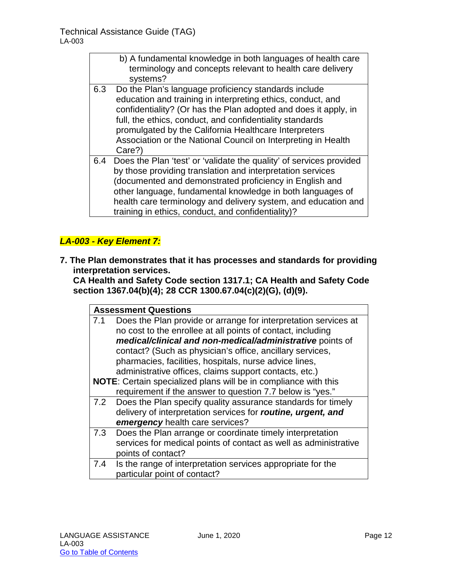$\blacksquare$ 

|     | b) A fundamental knowledge in both languages of health care<br>terminology and concepts relevant to health care delivery<br>systems?                                                                                                                                                                                                                                                   |
|-----|----------------------------------------------------------------------------------------------------------------------------------------------------------------------------------------------------------------------------------------------------------------------------------------------------------------------------------------------------------------------------------------|
| 6.3 | Do the Plan's language proficiency standards include<br>education and training in interpreting ethics, conduct, and<br>confidentiality? (Or has the Plan adopted and does it apply, in<br>full, the ethics, conduct, and confidentiality standards<br>promulgated by the California Healthcare Interpreters<br>Association or the National Council on Interpreting in Health<br>Care?) |
| 6.4 | Does the Plan 'test' or 'validate the quality' of services provided<br>by those providing translation and interpretation services<br>(documented and demonstrated proficiency in English and<br>other language, fundamental knowledge in both languages of<br>health care terminology and delivery system, and education and<br>training in ethics, conduct, and confidentiality)?     |

## *LA-003 - Key Element 7:*

**7. The Plan demonstrates that it has processes and standards for providing interpretation services.** 

**CA Health and Safety Code section 1317.1; CA Health and Safety Code section 1367.04(b)(4); 28 CCR 1300.67.04(c)(2)(G), (d)(9).**

| <b>Assessment Questions</b> |                                                                                                                                                                                                                                                                                                                                                                                                                                                 |
|-----------------------------|-------------------------------------------------------------------------------------------------------------------------------------------------------------------------------------------------------------------------------------------------------------------------------------------------------------------------------------------------------------------------------------------------------------------------------------------------|
| 7.1                         | Does the Plan provide or arrange for interpretation services at<br>no cost to the enrollee at all points of contact, including<br>medical/clinical and non-medical/administrative points of<br>contact? (Such as physician's office, ancillary services,<br>pharmacies, facilities, hospitals, nurse advice lines,<br>administrative offices, claims support contacts, etc.)<br>NOTE: Certain specialized plans will be in compliance with this |
|                             | requirement if the answer to question 7.7 below is "yes."                                                                                                                                                                                                                                                                                                                                                                                       |
| 7.2                         | Does the Plan specify quality assurance standards for timely<br>delivery of interpretation services for routine, urgent, and<br>emergency health care services?                                                                                                                                                                                                                                                                                 |
| 7.3                         | Does the Plan arrange or coordinate timely interpretation<br>services for medical points of contact as well as administrative<br>points of contact?                                                                                                                                                                                                                                                                                             |
| 7.4                         | Is the range of interpretation services appropriate for the<br>particular point of contact?                                                                                                                                                                                                                                                                                                                                                     |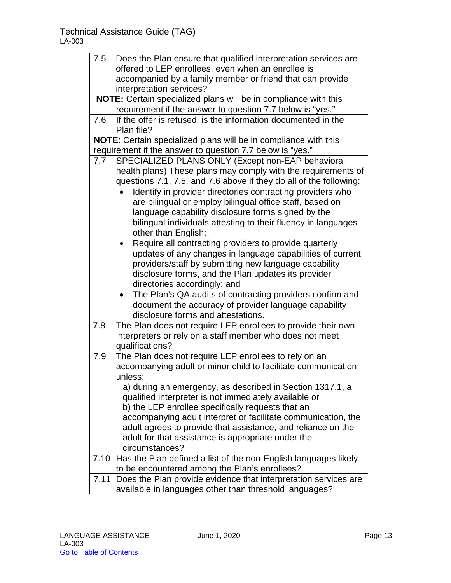| 7.5  | Does the Plan ensure that qualified interpretation services are        |  |
|------|------------------------------------------------------------------------|--|
|      | offered to LEP enrollees, even when an enrollee is                     |  |
|      | accompanied by a family member or friend that can provide              |  |
|      | interpretation services?                                               |  |
|      | NOTE: Certain specialized plans will be in compliance with this        |  |
|      | requirement if the answer to question 7.7 below is "yes."              |  |
| 7.6  | If the offer is refused, is the information documented in the          |  |
|      | Plan file?                                                             |  |
|      | <b>NOTE:</b> Certain specialized plans will be in compliance with this |  |
|      | requirement if the answer to question 7.7 below is "yes."              |  |
| 7.7  | SPECIALIZED PLANS ONLY (Except non-EAP behavioral                      |  |
|      | health plans) These plans may comply with the requirements of          |  |
|      | questions 7.1, 7.5, and 7.6 above if they do all of the following:     |  |
|      | Identify in provider directories contracting providers who             |  |
|      | are bilingual or employ bilingual office staff, based on               |  |
|      | language capability disclosure forms signed by the                     |  |
|      | bilingual individuals attesting to their fluency in languages          |  |
|      | other than English;                                                    |  |
|      | Require all contracting providers to provide quarterly                 |  |
|      | updates of any changes in language capabilities of current             |  |
|      | providers/staff by submitting new language capability                  |  |
|      | disclosure forms, and the Plan updates its provider                    |  |
|      | directories accordingly; and                                           |  |
|      | The Plan's QA audits of contracting providers confirm and              |  |
|      | document the accuracy of provider language capability                  |  |
|      | disclosure forms and attestations.                                     |  |
| 7.8  | The Plan does not require LEP enrollees to provide their own           |  |
|      | interpreters or rely on a staff member who does not meet               |  |
|      | qualifications?                                                        |  |
| 7.9  | The Plan does not require LEP enrollees to rely on an                  |  |
|      | accompanying adult or minor child to facilitate communication          |  |
|      | unless:                                                                |  |
|      | a) during an emergency, as described in Section 1317.1, a              |  |
|      | qualified interpreter is not immediately available or                  |  |
|      | b) the LEP enrollee specifically requests that an                      |  |
|      | accompanying adult interpret or facilitate communication, the          |  |
|      | adult agrees to provide that assistance, and reliance on the           |  |
|      | adult for that assistance is appropriate under the                     |  |
|      | circumstances?                                                         |  |
| 7.10 | Has the Plan defined a list of the non-English languages likely        |  |
|      | to be encountered among the Plan's enrollees?                          |  |
| 7.11 | Does the Plan provide evidence that interpretation services are        |  |
|      | available in languages other than threshold languages?                 |  |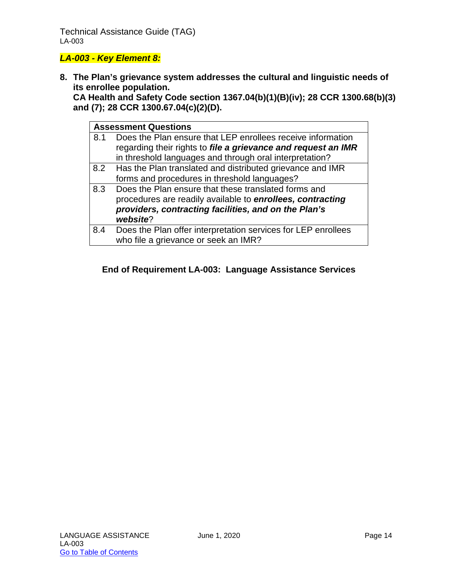#### Technical Assistance Guide (TAG) LA-003

#### *LA-003 - Key Element 8:*

**8. The Plan's grievance system addresses the cultural and linguistic needs of its enrollee population.** 

**CA Health and Safety Code section 1367.04(b)(1)(B)(iv); 28 CCR 1300.68(b)(3) and (7); 28 CCR 1300.67.04(c)(2)(D).**

| <b>Assessment Questions</b> |                                                               |
|-----------------------------|---------------------------------------------------------------|
| 8.1                         | Does the Plan ensure that LEP enrollees receive information   |
|                             | regarding their rights to file a grievance and request an IMR |
|                             | in threshold languages and through oral interpretation?       |
| 8.2                         | Has the Plan translated and distributed grievance and IMR     |
|                             | forms and procedures in threshold languages?                  |
| 8.3                         | Does the Plan ensure that these translated forms and          |
|                             | procedures are readily available to enrollees, contracting    |
|                             | providers, contracting facilities, and on the Plan's          |
|                             | website?                                                      |
| 8.4                         | Does the Plan offer interpretation services for LEP enrollees |
|                             | who file a grievance or seek an IMR?                          |

#### **End of Requirement LA-003: Language Assistance Services**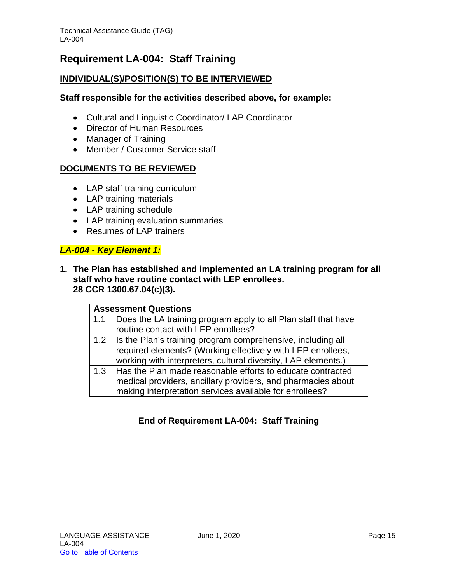# <span id="page-15-0"></span>**Requirement LA-004: Staff Training**

#### **INDIVIDUAL(S)/POSITION(S) TO BE INTERVIEWED**

#### **Staff responsible for the activities described above, for example:**

- Cultural and Linguistic Coordinator/ LAP Coordinator
- Director of Human Resources
- Manager of Training
- Member / Customer Service staff

#### **DOCUMENTS TO BE REVIEWED**

- LAP staff training curriculum
- LAP training materials
- LAP training schedule
- LAP training evaluation summaries
- Resumes of LAP trainers

#### *LA-004 - Key Element 1:*

**1. The Plan has established and implemented an LA training program for all staff who have routine contact with LEP enrollees. 28 CCR 1300.67.04(c)(3).**

| <b>Assessment Questions</b> |                                                                                                       |
|-----------------------------|-------------------------------------------------------------------------------------------------------|
| 1.1                         | Does the LA training program apply to all Plan staff that have<br>routine contact with LEP enrollees? |
|                             |                                                                                                       |
|                             | 1.2 Is the Plan's training program comprehensive, including all                                       |
|                             | required elements? (Working effectively with LEP enrollees,                                           |
|                             | working with interpreters, cultural diversity, LAP elements.)                                         |
| 1.3                         | Has the Plan made reasonable efforts to educate contracted                                            |
|                             | medical providers, ancillary providers, and pharmacies about                                          |
|                             | making interpretation services available for enrollees?                                               |

#### **End of Requirement LA-004: Staff Training**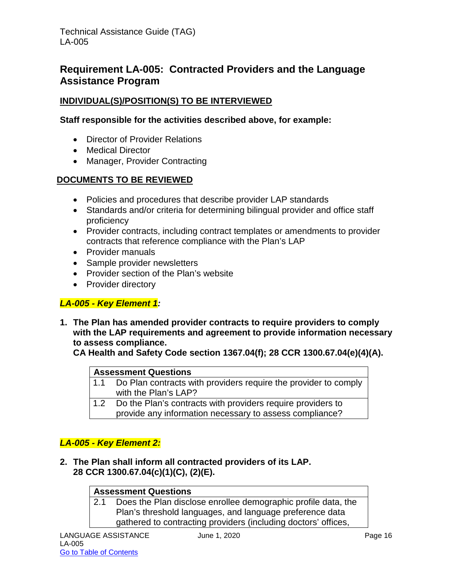# <span id="page-16-0"></span>**Requirement LA-005: Contracted Providers and the Language Assistance Program**

#### **INDIVIDUAL(S)/POSITION(S) TO BE INTERVIEWED**

#### **Staff responsible for the activities described above, for example:**

- Director of Provider Relations
- Medical Director
- Manager, Provider Contracting

#### **DOCUMENTS TO BE REVIEWED**

- Policies and procedures that describe provider LAP standards
- Standards and/or criteria for determining bilingual provider and office staff proficiency
- Provider contracts, including contract templates or amendments to provider contracts that reference compliance with the Plan's LAP
- Provider manuals
- Sample provider newsletters
- Provider section of the Plan's website
- Provider directory

#### *LA-005 - Key Element 1:*

**1. The Plan has amended provider contracts to require providers to comply with the LAP requirements and agreement to provide information necessary to assess compliance.**

**CA Health and Safety Code section 1367.04(f); 28 CCR 1300.67.04(e)(4)(A).**

#### **Assessment Questions**

- 1.1 Do Plan contracts with providers require the provider to comply with the Plan's LAP?
- 1.2 Do the Plan's contracts with providers require providers to
	- provide any information necessary to assess compliance?

#### *LA-005 - Key Element 2:*

**2. The Plan shall inform all contracted providers of its LAP. 28 CCR 1300.67.04(c)(1)(C), (2)(E).**

#### **Assessment Questions**

2.1 Does the Plan disclose enrollee demographic profile data, the Plan's threshold languages, and language preference data gathered to contracting providers (including doctors' offices,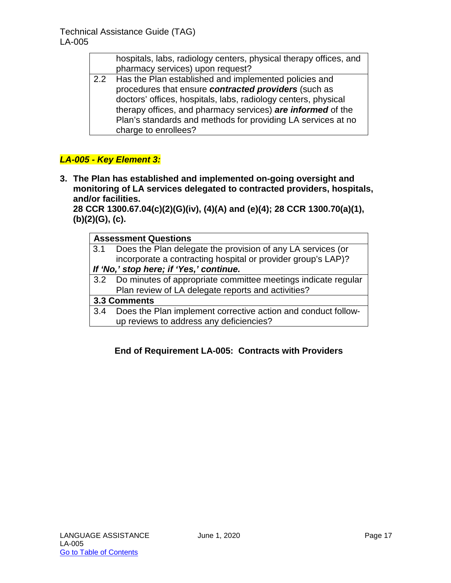|               | hospitals, labs, radiology centers, physical therapy offices, and |
|---------------|-------------------------------------------------------------------|
|               | pharmacy services) upon request?                                  |
| $2.2^{\circ}$ | Has the Plan established and implemented policies and             |
|               | procedures that ensure contracted providers (such as              |
|               | doctors' offices, hospitals, labs, radiology centers, physical    |
|               | therany offices and pharmacy services) are informed of the        |

therapy offices, and pharmacy services) *are informed* of the Plan's standards and methods for providing LA services at no charge to enrollees?

## *LA-005 - Key Element 3:*

**3. The Plan has established and implemented on-going oversight and monitoring of LA services delegated to contracted providers, hospitals, and/or facilities.** 

**28 CCR 1300.67.04(c)(2)(G)(iv), (4)(A) and (e)(4); 28 CCR 1300.70(a)(1), (b)(2)(G), (c).**

| <b>Assessment Questions</b>             |                                                                   |
|-----------------------------------------|-------------------------------------------------------------------|
|                                         | 3.1 Does the Plan delegate the provision of any LA services (or   |
|                                         | incorporate a contracting hospital or provider group's LAP)?      |
| If 'No,' stop here; if 'Yes,' continue. |                                                                   |
|                                         | 3.2 Do minutes of appropriate committee meetings indicate regular |
|                                         | Plan review of LA delegate reports and activities?                |
| 3.3 Comments                            |                                                                   |
| 3.4                                     | Does the Plan implement corrective action and conduct follow-     |
|                                         | up reviews to address any deficiencies?                           |

#### **End of Requirement LA-005: Contracts with Providers**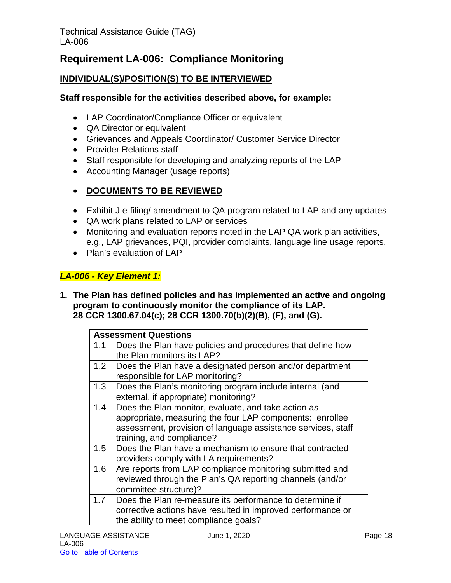# <span id="page-18-0"></span>**Requirement LA-006: Compliance Monitoring**

### **INDIVIDUAL(S)/POSITION(S) TO BE INTERVIEWED**

#### **Staff responsible for the activities described above, for example:**

- LAP Coordinator/Compliance Officer or equivalent
- QA Director or equivalent
- Grievances and Appeals Coordinator/ Customer Service Director
- Provider Relations staff
- Staff responsible for developing and analyzing reports of the LAP
- Accounting Manager (usage reports)
- **DOCUMENTS TO BE REVIEWED**
- Exhibit J e-filing/ amendment to QA program related to LAP and any updates
- QA work plans related to LAP or services
- Monitoring and evaluation reports noted in the LAP QA work plan activities, e.g., LAP grievances, PQI, provider complaints, language line usage reports.
- Plan's evaluation of LAP

#### *LA-006 - Key Element 1:*

**1. The Plan has defined policies and has implemented an active and ongoing program to continuously monitor the compliance of its LAP. 28 CCR 1300.67.04(c); 28 CCR 1300.70(b)(2)(B), (F), and (G).**

| <b>Assessment Questions</b> |                                                                                                                                                                                                              |
|-----------------------------|--------------------------------------------------------------------------------------------------------------------------------------------------------------------------------------------------------------|
| 1.1                         | Does the Plan have policies and procedures that define how<br>the Plan monitors its LAP?                                                                                                                     |
| 1.2                         | Does the Plan have a designated person and/or department<br>responsible for LAP monitoring?                                                                                                                  |
| 1.3                         | Does the Plan's monitoring program include internal (and<br>external, if appropriate) monitoring?                                                                                                            |
| 1.4                         | Does the Plan monitor, evaluate, and take action as<br>appropriate, measuring the four LAP components: enrollee<br>assessment, provision of language assistance services, staff<br>training, and compliance? |
| 1.5                         | Does the Plan have a mechanism to ensure that contracted<br>providers comply with LA requirements?                                                                                                           |
| 1.6                         | Are reports from LAP compliance monitoring submitted and<br>reviewed through the Plan's QA reporting channels (and/or<br>committee structure)?                                                               |
| 1.7                         | Does the Plan re-measure its performance to determine if<br>corrective actions have resulted in improved performance or<br>the ability to meet compliance goals?                                             |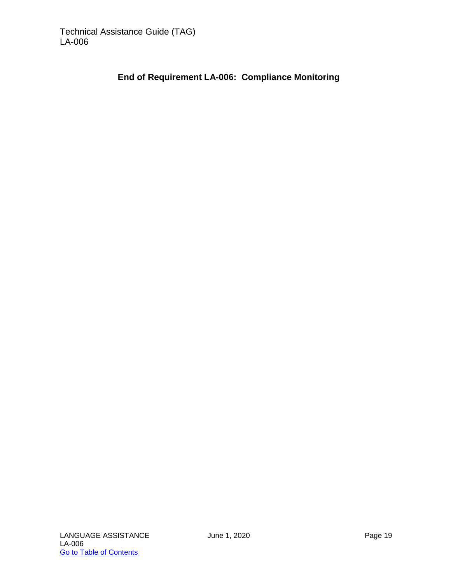#### **End of Requirement LA-006: Compliance Monitoring**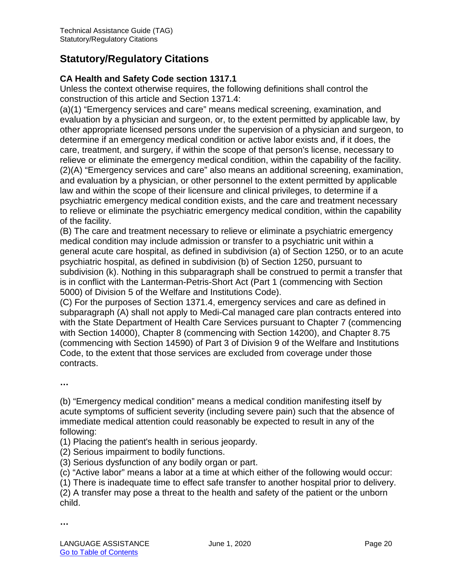# <span id="page-20-0"></span>**Statutory/Regulatory Citations**

#### **CA Health and Safety Code section 1317.1**

Unless the context otherwise requires, the following definitions shall control the construction of this article and Section 1371.4:

(a)(1) "Emergency services and care" means medical screening, examination, and evaluation by a physician and surgeon, or, to the extent permitted by applicable law, by other appropriate licensed persons under the supervision of a physician and surgeon, to determine if an emergency medical condition or active labor exists and, if it does, the care, treatment, and surgery, if within the scope of that person's license, necessary to relieve or eliminate the emergency medical condition, within the capability of the facility. (2)(A) "Emergency services and care" also means an additional screening, examination, and evaluation by a physician, or other personnel to the extent permitted by applicable law and within the scope of their licensure and clinical privileges, to determine if a psychiatric emergency medical condition exists, and the care and treatment necessary to relieve or eliminate the psychiatric emergency medical condition, within the capability of the facility.

(B) The care and treatment necessary to relieve or eliminate a psychiatric emergency medical condition may include admission or transfer to a psychiatric unit within a general acute care hospital, as defined in subdivision (a) of Section 1250, or to an acute psychiatric hospital, as defined in subdivision (b) of Section 1250, pursuant to subdivision (k). Nothing in this subparagraph shall be construed to permit a transfer that is in conflict with the Lanterman-Petris-Short Act (Part 1 (commencing with Section 5000) of Division 5 of the Welfare and Institutions Code).

(C) For the purposes of Section 1371.4, emergency services and care as defined in subparagraph (A) shall not apply to Medi-Cal managed care plan contracts entered into with the State Department of Health Care Services pursuant to Chapter 7 (commencing with Section 14000), Chapter 8 (commencing with Section 14200), and Chapter 8.75 (commencing with Section 14590) of Part 3 of Division 9 of the Welfare and Institutions Code, to the extent that those services are excluded from coverage under those contracts.

**…**

(b) "Emergency medical condition" means a medical condition manifesting itself by acute symptoms of sufficient severity (including severe pain) such that the absence of immediate medical attention could reasonably be expected to result in any of the following:

(1) Placing the patient's health in serious jeopardy.

(2) Serious impairment to bodily functions.

(3) Serious dysfunction of any bodily organ or part.

(c) "Active labor" means a labor at a time at which either of the following would occur:

(1) There is inadequate time to effect safe transfer to another hospital prior to delivery.

(2) A transfer may pose a threat to the health and safety of the patient or the unborn child.

**…**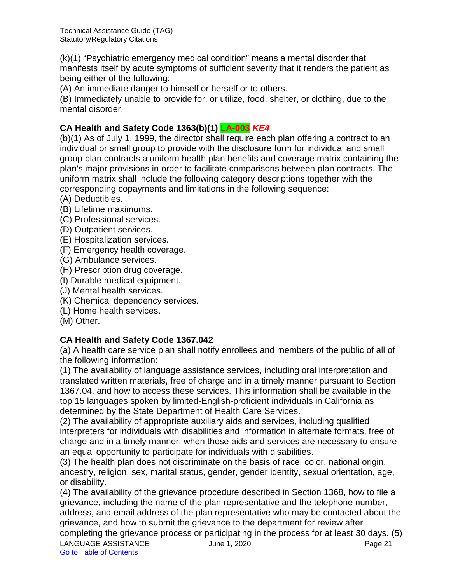(k)(1) "Psychiatric emergency medical condition" means a mental disorder that manifests itself by acute symptoms of sufficient severity that it renders the patient as being either of the following:

(A) An immediate danger to himself or herself or to others.

(B) Immediately unable to provide for, or utilize, food, shelter, or clothing, due to the mental disorder.

### **CA Health and Safety Code 1363(b)(1) LA-003** *KE4*

(b)(1) As of July 1, 1999, the director shall require each plan offering a contract to an individual or small group to provide with the disclosure form for individual and small group plan contracts a uniform health plan benefits and coverage matrix containing the plan's major provisions in order to facilitate comparisons between plan contracts. The uniform matrix shall include the following category descriptions together with the corresponding copayments and limitations in the following sequence:

- (A) Deductibles.
- (B) Lifetime maximums.
- (C) Professional services.
- (D) Outpatient services.
- (E) Hospitalization services.
- (F) Emergency health coverage.
- (G) Ambulance services.
- (H) Prescription drug coverage.
- (I) Durable medical equipment.
- (J) Mental health services.
- (K) Chemical dependency services.
- (L) Home health services.
- (M) Other.

#### **CA Health and Safety Code 1367.042**

(a) A health care service plan shall notify enrollees and members of the public of all of the following information:

(1) The availability of language assistance services, including oral interpretation and translated written materials, free of charge and in a timely manner pursuant to Section 1367.04, and how to access these services. This information shall be available in the top 15 languages spoken by limited-English-proficient individuals in California as determined by the State Department of Health Care Services.

(2) The availability of appropriate auxiliary aids and services, including qualified interpreters for individuals with disabilities and information in alternate formats, free of charge and in a timely manner, when those aids and services are necessary to ensure an equal opportunity to participate for individuals with disabilities.

(3) The health plan does not discriminate on the basis of race, color, national origin, ancestry, religion, sex, marital status, gender, gender identity, sexual orientation, age, or disability.

(4) The availability of the grievance procedure described in Section 1368, how to file a grievance, including the name of the plan representative and the telephone number, address, and email address of the plan representative who may be contacted about the grievance, and how to submit the grievance to the department for review after completing the grievance process or participating in the process for at least 30 days. (5)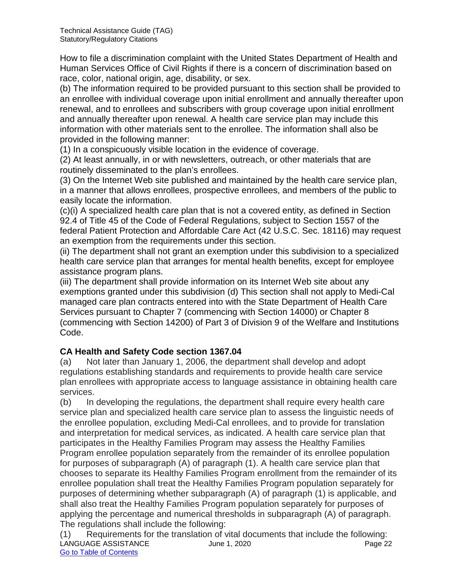How to file a discrimination complaint with the United States Department of Health and Human Services Office of Civil Rights if there is a concern of discrimination based on race, color, national origin, age, disability, or sex.

(b) The information required to be provided pursuant to this section shall be provided to an enrollee with individual coverage upon initial enrollment and annually thereafter upon renewal, and to enrollees and subscribers with group coverage upon initial enrollment and annually thereafter upon renewal. A health care service plan may include this information with other materials sent to the enrollee. The information shall also be provided in the following manner:

(1) In a conspicuously visible location in the evidence of coverage.

(2) At least annually, in or with newsletters, outreach, or other materials that are routinely disseminated to the plan's enrollees.

(3) On the Internet Web site published and maintained by the health care service plan, in a manner that allows enrollees, prospective enrollees, and members of the public to easily locate the information.

(c)(i) A specialized health care plan that is not a covered entity, as defined in Section 92.4 of Title 45 of the Code of Federal Regulations, subject to Section 1557 of the federal Patient Protection and Affordable Care Act (42 U.S.C. Sec. 18116) may request an exemption from the requirements under this section.

(ii) The department shall not grant an exemption under this subdivision to a specialized health care service plan that arranges for mental health benefits, except for employee assistance program plans.

(iii) The department shall provide information on its Internet Web site about any exemptions granted under this subdivision (d) This section shall not apply to Medi-Cal managed care plan contracts entered into with the State Department of Health Care Services pursuant to Chapter 7 (commencing with Section 14000) or Chapter 8 (commencing with Section 14200) of Part 3 of Division 9 of the Welfare and Institutions Code.

# **CA Health and Safety Code section 1367.04**

(a) Not later than January 1, 2006, the department shall develop and adopt regulations establishing standards and requirements to provide health care service plan enrollees with appropriate access to language assistance in obtaining health care services.

(b) In developing the regulations, the department shall require every health care service plan and specialized health care service plan to assess the linguistic needs of the enrollee population, excluding Medi-Cal enrollees, and to provide for translation and interpretation for medical services, as indicated. A health care service plan that participates in the Healthy Families Program may assess the Healthy Families Program enrollee population separately from the remainder of its enrollee population for purposes of subparagraph (A) of paragraph (1). A health care service plan that chooses to separate its Healthy Families Program enrollment from the remainder of its enrollee population shall treat the Healthy Families Program population separately for purposes of determining whether subparagraph (A) of paragraph (1) is applicable, and shall also treat the Healthy Families Program population separately for purposes of applying the percentage and numerical thresholds in subparagraph (A) of paragraph. The regulations shall include the following:

LANGUAGE ASSISTANCE Unit and June 1, 2020 Case 22 Page 22 Go to Table of Contents (1) Requirements for the translation of vital documents that include the following: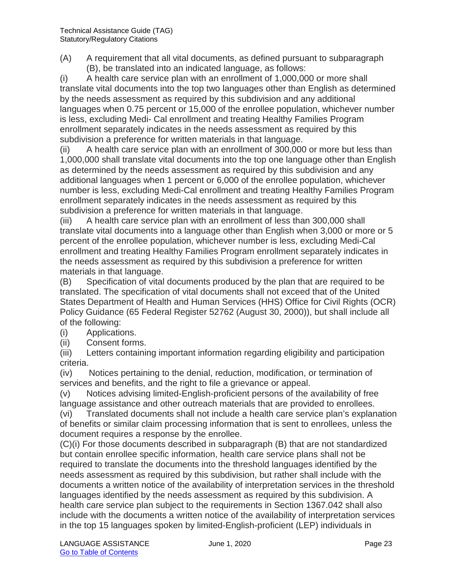(A) A requirement that all vital documents, as defined pursuant to subparagraph (B), be translated into an indicated language, as follows:

(i) A health care service plan with an enrollment of 1,000,000 or more shall translate vital documents into the top two languages other than English as determined by the needs assessment as required by this subdivision and any additional languages when 0.75 percent or 15,000 of the enrollee population, whichever number is less, excluding Medi- Cal enrollment and treating Healthy Families Program enrollment separately indicates in the needs assessment as required by this subdivision a preference for written materials in that language.

(ii) A health care service plan with an enrollment of 300,000 or more but less than 1,000,000 shall translate vital documents into the top one language other than English as determined by the needs assessment as required by this subdivision and any additional languages when 1 percent or 6,000 of the enrollee population, whichever number is less, excluding Medi-Cal enrollment and treating Healthy Families Program enrollment separately indicates in the needs assessment as required by this subdivision a preference for written materials in that language.

(iii) A health care service plan with an enrollment of less than 300,000 shall translate vital documents into a language other than English when 3,000 or more or 5 percent of the enrollee population, whichever number is less, excluding Medi-Cal enrollment and treating Healthy Families Program enrollment separately indicates in the needs assessment as required by this subdivision a preference for written materials in that language.

(B) Specification of vital documents produced by the plan that are required to be translated. The specification of vital documents shall not exceed that of the United States Department of Health and Human Services (HHS) Office for Civil Rights (OCR) Policy Guidance (65 Federal Register 52762 (August 30, 2000)), but shall include all of the following:

- (i) Applications.
- (ii) Consent forms.

(iii) Letters containing important information regarding eligibility and participation criteria.

(iv) Notices pertaining to the denial, reduction, modification, or termination of services and benefits, and the right to file a grievance or appeal.

(v) Notices advising limited-English-proficient persons of the availability of free language assistance and other outreach materials that are provided to enrollees.

(vi) Translated documents shall not include a health care service plan's explanation of benefits or similar claim processing information that is sent to enrollees, unless the document requires a response by the enrollee.

(C)(i) For those documents described in subparagraph (B) that are not standardized but contain enrollee specific information, health care service plans shall not be required to translate the documents into the threshold languages identified by the needs assessment as required by this subdivision, but rather shall include with the documents a written notice of the availability of interpretation services in the threshold languages identified by the needs assessment as required by this subdivision. A health care service plan subject to the requirements in Section 1367.042 shall also include with the documents a written notice of the availability of interpretation services in the top 15 languages spoken by limited-English-proficient (LEP) individuals in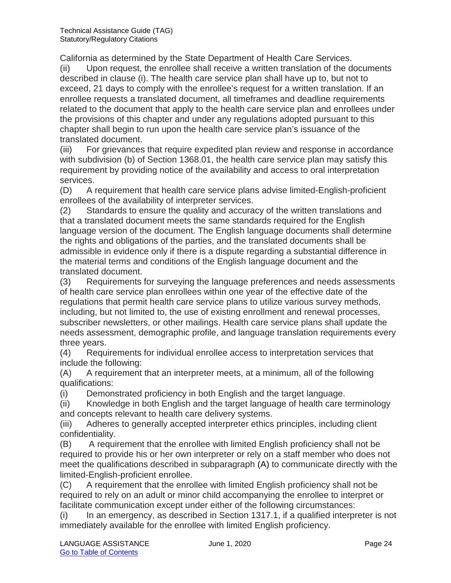California as determined by the State Department of Health Care Services.

(ii) Upon request, the enrollee shall receive a written translation of the documents described in clause (i). The health care service plan shall have up to, but not to exceed, 21 days to comply with the enrollee's request for a written translation. If an enrollee requests a translated document, all timeframes and deadline requirements related to the document that apply to the health care service plan and enrollees under the provisions of this chapter and under any regulations adopted pursuant to this chapter shall begin to run upon the health care service plan's issuance of the translated document.

(iii) For grievances that require expedited plan review and response in accordance with subdivision (b) of Section 1368.01, the health care service plan may satisfy this requirement by providing notice of the availability and access to oral interpretation services.

(D) A requirement that health care service plans advise limited-English-proficient enrollees of the availability of interpreter services.

(2) Standards to ensure the quality and accuracy of the written translations and that a translated document meets the same standards required for the English language version of the document. The English language documents shall determine the rights and obligations of the parties, and the translated documents shall be admissible in evidence only if there is a dispute regarding a substantial difference in the material terms and conditions of the English language document and the translated document.

(3) Requirements for surveying the language preferences and needs assessments of health care service plan enrollees within one year of the effective date of the regulations that permit health care service plans to utilize various survey methods, including, but not limited to, the use of existing enrollment and renewal processes, subscriber newsletters, or other mailings. Health care service plans shall update the needs assessment, demographic profile, and language translation requirements every three years.

(4) Requirements for individual enrollee access to interpretation services that include the following:

(A) A requirement that an interpreter meets, at a minimum, all of the following qualifications:

(i) Demonstrated proficiency in both English and the target language.

(ii) Knowledge in both English and the target language of health care terminology and concepts relevant to health care delivery systems.

(iii) Adheres to generally accepted interpreter ethics principles, including client confidentiality.

(B) A requirement that the enrollee with limited English proficiency shall not be required to provide his or her own interpreter or rely on a staff member who does not meet the qualifications described in subparagraph (A) to communicate directly with the limited-English-proficient enrollee.

(C) A requirement that the enrollee with limited English proficiency shall not be required to rely on an adult or minor child accompanying the enrollee to interpret or facilitate communication except under either of the following circumstances:

(i) In an emergency, as described in Section 1317.1, if a qualified interpreter is not immediately available for the enrollee with limited English proficiency.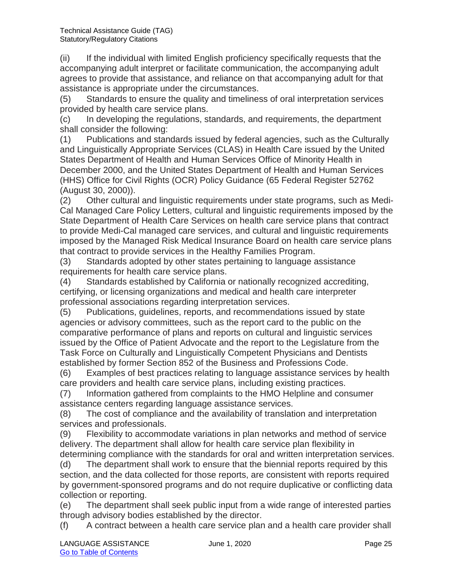(ii) If the individual with limited English proficiency specifically requests that the accompanying adult interpret or facilitate communication, the accompanying adult agrees to provide that assistance, and reliance on that accompanying adult for that assistance is appropriate under the circumstances.

(5) Standards to ensure the quality and timeliness of oral interpretation services provided by health care service plans.

(c) In developing the regulations, standards, and requirements, the department shall consider the following:

(1) Publications and standards issued by federal agencies, such as the Culturally and Linguistically Appropriate Services (CLAS) in Health Care issued by the United States Department of Health and Human Services Office of Minority Health in December 2000, and the United States Department of Health and Human Services (HHS) Office for Civil Rights (OCR) Policy Guidance (65 Federal Register 52762 (August 30, 2000)).

(2) Other cultural and linguistic requirements under state programs, such as Medi-Cal Managed Care Policy Letters, cultural and linguistic requirements imposed by the State Department of Health Care Services on health care service plans that contract to provide Medi-Cal managed care services, and cultural and linguistic requirements imposed by the Managed Risk Medical Insurance Board on health care service plans that contract to provide services in the Healthy Families Program.

(3) Standards adopted by other states pertaining to language assistance requirements for health care service plans.

(4) Standards established by California or nationally recognized accrediting, certifying, or licensing organizations and medical and health care interpreter professional associations regarding interpretation services.

(5) Publications, guidelines, reports, and recommendations issued by state agencies or advisory committees, such as the report card to the public on the comparative performance of plans and reports on cultural and linguistic services issued by the Office of Patient Advocate and the report to the Legislature from the Task Force on Culturally and Linguistically Competent Physicians and Dentists established by former Section 852 of the Business and Professions Code.

(6) Examples of best practices relating to language assistance services by health care providers and health care service plans, including existing practices.

(7) Information gathered from complaints to the HMO Helpline and consumer assistance centers regarding language assistance services.

(8) The cost of compliance and the availability of translation and interpretation services and professionals.

(9) Flexibility to accommodate variations in plan networks and method of service delivery. The department shall allow for health care service plan flexibility in determining compliance with the standards for oral and written interpretation services.

(d) The department shall work to ensure that the biennial reports required by this section, and the data collected for those reports, are consistent with reports required by government-sponsored programs and do not require duplicative or conflicting data collection or reporting.

(e) The department shall seek public input from a wide range of interested parties through advisory bodies established by the director.

(f) A contract between a health care service plan and a health care provider shall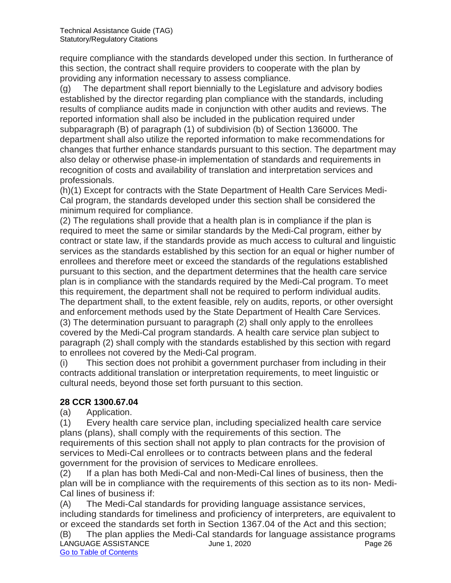require compliance with the standards developed under this section. In furtherance of this section, the contract shall require providers to cooperate with the plan by providing any information necessary to assess compliance.

(g) The department shall report biennially to the Legislature and advisory bodies established by the director regarding plan compliance with the standards, including results of compliance audits made in conjunction with other audits and reviews. The reported information shall also be included in the publication required under subparagraph (B) of paragraph (1) of subdivision (b) of Section 136000. The department shall also utilize the reported information to make recommendations for changes that further enhance standards pursuant to this section. The department may also delay or otherwise phase-in implementation of standards and requirements in recognition of costs and availability of translation and interpretation services and professionals.

(h)(1) Except for contracts with the State Department of Health Care Services Medi-Cal program, the standards developed under this section shall be considered the minimum required for compliance.

(2) The regulations shall provide that a health plan is in compliance if the plan is required to meet the same or similar standards by the Medi-Cal program, either by contract or state law, if the standards provide as much access to cultural and linguistic services as the standards established by this section for an equal or higher number of enrollees and therefore meet or exceed the standards of the regulations established pursuant to this section, and the department determines that the health care service plan is in compliance with the standards required by the Medi-Cal program. To meet this requirement, the department shall not be required to perform individual audits. The department shall, to the extent feasible, rely on audits, reports, or other oversight and enforcement methods used by the State Department of Health Care Services. (3) The determination pursuant to paragraph (2) shall only apply to the enrollees covered by the Medi-Cal program standards. A health care service plan subject to paragraph (2) shall comply with the standards established by this section with regard to enrollees not covered by the Medi-Cal program.

(i) This section does not prohibit a government purchaser from including in their contracts additional translation or interpretation requirements, to meet linguistic or cultural needs, beyond those set forth pursuant to this section.

#### **28 CCR 1300.67.04**

(a) Application.

(1) Every health care service plan, including specialized health care service plans (plans), shall comply with the requirements of this section. The requirements of this section shall not apply to plan contracts for the provision of services to Medi-Cal enrollees or to contracts between plans and the federal government for the provision of services to Medicare enrollees.

(2) If a plan has both Medi-Cal and non-Medi-Cal lines of business, then the plan will be in compliance with the requirements of this section as to its non- Medi-Cal lines of business if:

(A) The Medi-Cal standards for providing language assistance services, including standards for timeliness and proficiency of interpreters, are equivalent to or exceed the standards set forth in Section 1367.04 of the Act and this section;

LANGUAGE ASSISTANCE June 1, 2020 Page 26 Go to Table of Contents (B) The plan applies the Medi-Cal standards for language assistance programs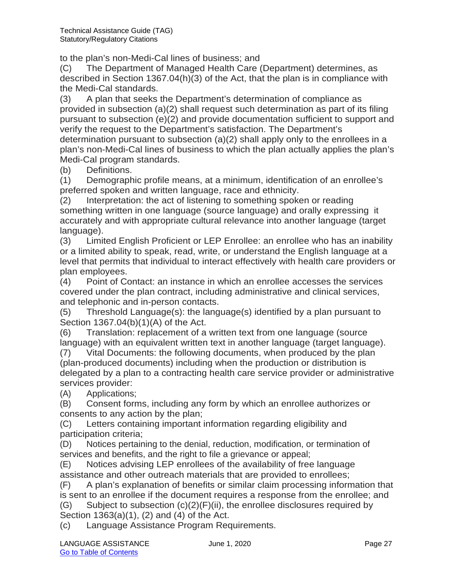to the plan's non-Medi-Cal lines of business; and

(C) The Department of Managed Health Care (Department) determines, as described in Section 1367.04(h)(3) of the Act, that the plan is in compliance with the Medi-Cal standards.

(3) A plan that seeks the Department's determination of compliance as provided in subsection (a)(2) shall request such determination as part of its filing pursuant to subsection (e)(2) and provide documentation sufficient to support and verify the request to the Department's satisfaction. The Department's determination pursuant to subsection (a)(2) shall apply only to the enrollees in a plan's non-Medi-Cal lines of business to which the plan actually applies the plan's Medi-Cal program standards.

(b) Definitions.

(1) Demographic profile means, at a minimum, identification of an enrollee's preferred spoken and written language, race and ethnicity.

(2) Interpretation: the act of listening to something spoken or reading something written in one language (source language) and orally expressing it accurately and with appropriate cultural relevance into another language (target language).

(3) Limited English Proficient or LEP Enrollee: an enrollee who has an inability or a limited ability to speak, read, write, or understand the English language at a level that permits that individual to interact effectively with health care providers or plan employees.

(4) Point of Contact: an instance in which an enrollee accesses the services covered under the plan contract, including administrative and clinical services, and telephonic and in-person contacts.

(5) Threshold Language(s): the language(s) identified by a plan pursuant to Section 1367.04(b)(1)(A) of the Act.

(6) Translation: replacement of a written text from one language (source language) with an equivalent written text in another language (target language).

(7) Vital Documents: the following documents, when produced by the plan (plan-produced documents) including when the production or distribution is delegated by a plan to a contracting health care service provider or administrative services provider:

(A) Applications;

(B) Consent forms, including any form by which an enrollee authorizes or consents to any action by the plan;

(C) Letters containing important information regarding eligibility and participation criteria;

(D) Notices pertaining to the denial, reduction, modification, or termination of services and benefits, and the right to file a grievance or appeal;

(E) Notices advising LEP enrollees of the availability of free language assistance and other outreach materials that are provided to enrollees;

(F) A plan's explanation of benefits or similar claim processing information that is sent to an enrollee if the document requires a response from the enrollee; and

 $(G)$  Subject to subsection  $(c)(2)(F)(ii)$ , the enrollee disclosures required by Section 1363(a)(1), (2) and (4) of the Act.

(c) Language Assistance Program Requirements.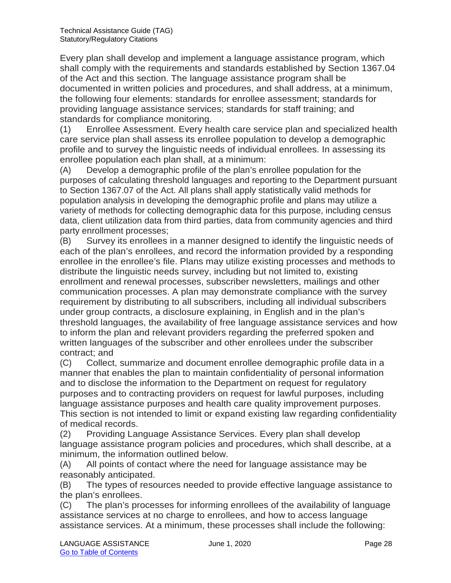Every plan shall develop and implement a language assistance program, which shall comply with the requirements and standards established by Section 1367.04 of the Act and this section. The language assistance program shall be documented in written policies and procedures, and shall address, at a minimum, the following four elements: standards for enrollee assessment; standards for providing language assistance services; standards for staff training; and standards for compliance monitoring.

(1) Enrollee Assessment. Every health care service plan and specialized health care service plan shall assess its enrollee population to develop a demographic profile and to survey the linguistic needs of individual enrollees. In assessing its enrollee population each plan shall, at a minimum:

(A) Develop a demographic profile of the plan's enrollee population for the purposes of calculating threshold languages and reporting to the Department pursuant to Section 1367.07 of the Act. All plans shall apply statistically valid methods for population analysis in developing the demographic profile and plans may utilize a variety of methods for collecting demographic data for this purpose, including census data, client utilization data from third parties, data from community agencies and third party enrollment processes;

(B) Survey its enrollees in a manner designed to identify the linguistic needs of each of the plan's enrollees, and record the information provided by a responding enrollee in the enrollee's file. Plans may utilize existing processes and methods to distribute the linguistic needs survey, including but not limited to, existing enrollment and renewal processes, subscriber newsletters, mailings and other communication processes. A plan may demonstrate compliance with the survey requirement by distributing to all subscribers, including all individual subscribers under group contracts, a disclosure explaining, in English and in the plan's threshold languages, the availability of free language assistance services and how to inform the plan and relevant providers regarding the preferred spoken and written languages of the subscriber and other enrollees under the subscriber contract; and

(C) Collect, summarize and document enrollee demographic profile data in a manner that enables the plan to maintain confidentiality of personal information and to disclose the information to the Department on request for regulatory purposes and to contracting providers on request for lawful purposes, including language assistance purposes and health care quality improvement purposes. This section is not intended to limit or expand existing law regarding confidentiality of medical records.

(2) Providing Language Assistance Services. Every plan shall develop language assistance program policies and procedures, which shall describe, at a minimum, the information outlined below.

(A) All points of contact where the need for language assistance may be reasonably anticipated.

(B) The types of resources needed to provide effective language assistance to the plan's enrollees.

(C) The plan's processes for informing enrollees of the availability of language assistance services at no charge to enrollees, and how to access language assistance services. At a minimum, these processes shall include the following: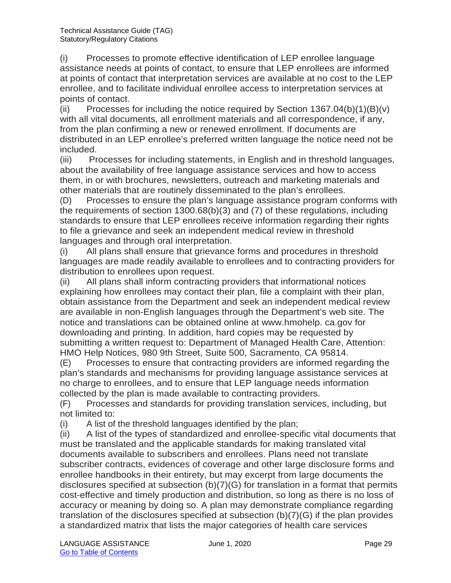(i) Processes to promote effective identification of LEP enrollee language assistance needs at points of contact, to ensure that LEP enrollees are informed at points of contact that interpretation services are available at no cost to the LEP enrollee, and to facilitate individual enrollee access to interpretation services at points of contact.

(ii) Processes for including the notice required by Section  $1367.04(b)(1)(B)(v)$ with all vital documents, all enrollment materials and all correspondence, if any, from the plan confirming a new or renewed enrollment. If documents are distributed in an LEP enrollee's preferred written language the notice need not be included.

(iii) Processes for including statements, in English and in threshold languages, about the availability of free language assistance services and how to access them, in or with brochures, newsletters, outreach and marketing materials and other materials that are routinely disseminated to the plan's enrollees.

(D) Processes to ensure the plan's language assistance program conforms with the requirements of section 1300.68(b)(3) and (7) of these regulations, including standards to ensure that LEP enrollees receive information regarding their rights to file a grievance and seek an independent medical review in threshold languages and through oral interpretation.

(i) All plans shall ensure that grievance forms and procedures in threshold languages are made readily available to enrollees and to contracting providers for distribution to enrollees upon request.

(ii) All plans shall inform contracting providers that informational notices explaining how enrollees may contact their plan, file a complaint with their plan, obtain assistance from the Department and seek an independent medical review are available in non-English languages through the Department's web site. The notice and translations can be obtained online at www.hmohelp. ca.gov for downloading and printing. In addition, hard copies may be requested by submitting a written request to: Department of Managed Health Care, Attention: HMO Help Notices, 980 9th Street, Suite 500, Sacramento, CA 95814.

(E) Processes to ensure that contracting providers are informed regarding the plan's standards and mechanisms for providing language assistance services at no charge to enrollees, and to ensure that LEP language needs information collected by the plan is made available to contracting providers.

(F) Processes and standards for providing translation services, including, but not limited to:

(i) A list of the threshold languages identified by the plan;

(ii) A list of the types of standardized and enrollee-specific vital documents that must be translated and the applicable standards for making translated vital documents available to subscribers and enrollees. Plans need not translate subscriber contracts, evidences of coverage and other large disclosure forms and enrollee handbooks in their entirety, but may excerpt from large documents the disclosures specified at subsection (b)(7)(G) for translation in a format that permits cost-effective and timely production and distribution, so long as there is no loss of accuracy or meaning by doing so. A plan may demonstrate compliance regarding translation of the disclosures specified at subsection (b)(7)(G) if the plan provides a standardized matrix that lists the major categories of health care services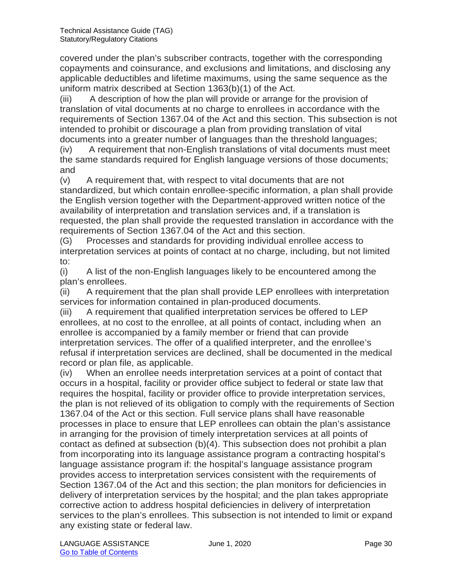covered under the plan's subscriber contracts, together with the corresponding copayments and coinsurance, and exclusions and limitations, and disclosing any applicable deductibles and lifetime maximums, using the same sequence as the uniform matrix described at Section 1363(b)(1) of the Act.

(iii) A description of how the plan will provide or arrange for the provision of translation of vital documents at no charge to enrollees in accordance with the requirements of Section 1367.04 of the Act and this section. This subsection is not intended to prohibit or discourage a plan from providing translation of vital documents into a greater number of languages than the threshold languages;

(iv) A requirement that non-English translations of vital documents must meet the same standards required for English language versions of those documents; and

(v) A requirement that, with respect to vital documents that are not standardized, but which contain enrollee-specific information, a plan shall provide the English version together with the Department-approved written notice of the availability of interpretation and translation services and, if a translation is requested, the plan shall provide the requested translation in accordance with the requirements of Section 1367.04 of the Act and this section.

(G) Processes and standards for providing individual enrollee access to interpretation services at points of contact at no charge, including, but not limited to:

(i) A list of the non-English languages likely to be encountered among the plan's enrollees.

(ii) A requirement that the plan shall provide LEP enrollees with interpretation services for information contained in plan-produced documents.

(iii) A requirement that qualified interpretation services be offered to LEP enrollees, at no cost to the enrollee, at all points of contact, including when an enrollee is accompanied by a family member or friend that can provide interpretation services. The offer of a qualified interpreter, and the enrollee's refusal if interpretation services are declined, shall be documented in the medical record or plan file, as applicable.

(iv) When an enrollee needs interpretation services at a point of contact that occurs in a hospital, facility or provider office subject to federal or state law that requires the hospital, facility or provider office to provide interpretation services, the plan is not relieved of its obligation to comply with the requirements of Section 1367.04 of the Act or this section. Full service plans shall have reasonable processes in place to ensure that LEP enrollees can obtain the plan's assistance in arranging for the provision of timely interpretation services at all points of contact as defined at subsection (b)(4). This subsection does not prohibit a plan from incorporating into its language assistance program a contracting hospital's language assistance program if: the hospital's language assistance program provides access to interpretation services consistent with the requirements of Section 1367.04 of the Act and this section; the plan monitors for deficiencies in delivery of interpretation services by the hospital; and the plan takes appropriate corrective action to address hospital deficiencies in delivery of interpretation services to the plan's enrollees. This subsection is not intended to limit or expand any existing state or federal law.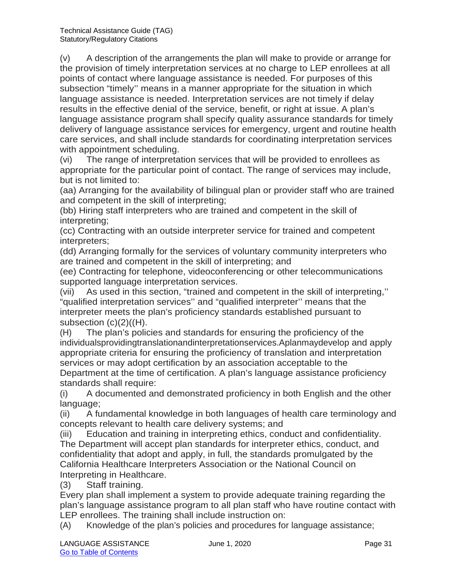(v) A description of the arrangements the plan will make to provide or arrange for the provision of timely interpretation services at no charge to LEP enrollees at all points of contact where language assistance is needed. For purposes of this subsection "timely'' means in a manner appropriate for the situation in which language assistance is needed. Interpretation services are not timely if delay results in the effective denial of the service, benefit, or right at issue. A plan's language assistance program shall specify quality assurance standards for timely delivery of language assistance services for emergency, urgent and routine health care services, and shall include standards for coordinating interpretation services with appointment scheduling.

(vi) The range of interpretation services that will be provided to enrollees as appropriate for the particular point of contact. The range of services may include, but is not limited to:

(aa) Arranging for the availability of bilingual plan or provider staff who are trained and competent in the skill of interpreting;

(bb) Hiring staff interpreters who are trained and competent in the skill of interpreting;

(cc) Contracting with an outside interpreter service for trained and competent interpreters;

(dd) Arranging formally for the services of voluntary community interpreters who are trained and competent in the skill of interpreting; and

(ee) Contracting for telephone, videoconferencing or other telecommunications supported language interpretation services.

(vii) As used in this section, "trained and competent in the skill of interpreting,'' "qualified interpretation services'' and "qualified interpreter'' means that the interpreter meets the plan's proficiency standards established pursuant to subsection (c)(2)((H).

(H) The plan's policies and standards for ensuring the proficiency of the individualsprovidingtranslationandinterpretationservices.Aplanmaydevelop and apply appropriate criteria for ensuring the proficiency of translation and interpretation services or may adopt certification by an association acceptable to the Department at the time of certification. A plan's language assistance proficiency standards shall require:

(i) A documented and demonstrated proficiency in both English and the other language;

(ii) A fundamental knowledge in both languages of health care terminology and concepts relevant to health care delivery systems; and

(iii) Education and training in interpreting ethics, conduct and confidentiality. The Department will accept plan standards for interpreter ethics, conduct, and confidentiality that adopt and apply, in full, the standards promulgated by the California Healthcare Interpreters Association or the National Council on Interpreting in Healthcare.

(3) Staff training.

Every plan shall implement a system to provide adequate training regarding the plan's language assistance program to all plan staff who have routine contact with LEP enrollees. The training shall include instruction on:

(A) Knowledge of the plan's policies and procedures for language assistance;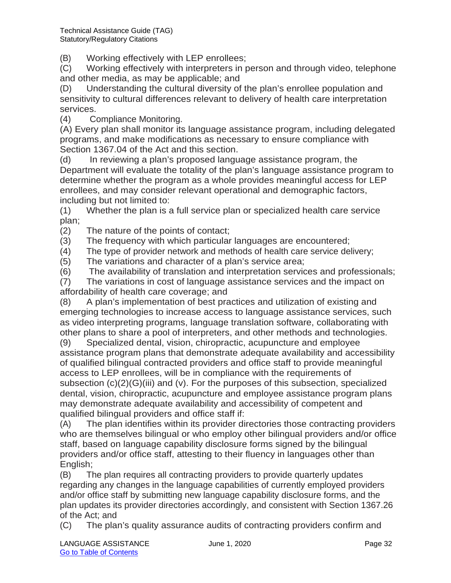(B) Working effectively with LEP enrollees;

(C) Working effectively with interpreters in person and through video, telephone and other media, as may be applicable; and

(D) Understanding the cultural diversity of the plan's enrollee population and sensitivity to cultural differences relevant to delivery of health care interpretation services.

(4) Compliance Monitoring.

(A) Every plan shall monitor its language assistance program, including delegated programs, and make modifications as necessary to ensure compliance with Section 1367.04 of the Act and this section.

(d) In reviewing a plan's proposed language assistance program, the Department will evaluate the totality of the plan's language assistance program to determine whether the program as a whole provides meaningful access for LEP enrollees, and may consider relevant operational and demographic factors, including but not limited to:

(1) Whether the plan is a full service plan or specialized health care service plan;

(2) The nature of the points of contact;

(3) The frequency with which particular languages are encountered;

(4) The type of provider network and methods of health care service delivery;

(5) The variations and character of a plan's service area;

(6) The availability of translation and interpretation services and professionals;

(7) The variations in cost of language assistance services and the impact on affordability of health care coverage; and

(8) A plan's implementation of best practices and utilization of existing and emerging technologies to increase access to language assistance services, such as video interpreting programs, language translation software, collaborating with other plans to share a pool of interpreters, and other methods and technologies.

(9) Specialized dental, vision, chiropractic, acupuncture and employee assistance program plans that demonstrate adequate availability and accessibility of qualified bilingual contracted providers and office staff to provide meaningful access to LEP enrollees, will be in compliance with the requirements of subsection (c)(2)(G)(iii) and (v). For the purposes of this subsection, specialized dental, vision, chiropractic, acupuncture and employee assistance program plans may demonstrate adequate availability and accessibility of competent and qualified bilingual providers and office staff if:

(A) The plan identifies within its provider directories those contracting providers who are themselves bilingual or who employ other bilingual providers and/or office staff, based on language capability disclosure forms signed by the bilingual providers and/or office staff, attesting to their fluency in languages other than English;

(B) The plan requires all contracting providers to provide quarterly updates regarding any changes in the language capabilities of currently employed providers and/or office staff by submitting new language capability disclosure forms, and the plan updates its provider directories accordingly, and consistent with Section 1367.26 of the Act; and

(C) The plan's quality assurance audits of contracting providers confirm and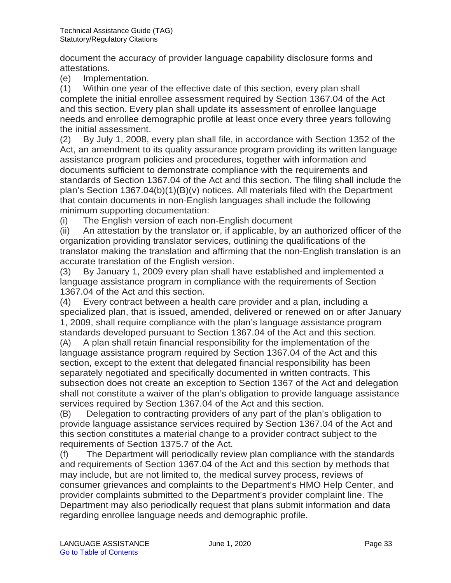document the accuracy of provider language capability disclosure forms and attestations.

(e) Implementation.

(1) Within one year of the effective date of this section, every plan shall complete the initial enrollee assessment required by Section 1367.04 of the Act and this section. Every plan shall update its assessment of enrollee language needs and enrollee demographic profile at least once every three years following the initial assessment.

(2) By July 1, 2008, every plan shall file, in accordance with Section 1352 of the Act, an amendment to its quality assurance program providing its written language assistance program policies and procedures, together with information and documents sufficient to demonstrate compliance with the requirements and standards of Section 1367.04 of the Act and this section. The filing shall include the plan's Section 1367.04(b)(1)(B)(v) notices. All materials filed with the Department that contain documents in non-English languages shall include the following minimum supporting documentation:

(i) The English version of each non-English document

(ii) An attestation by the translator or, if applicable, by an authorized officer of the organization providing translator services, outlining the qualifications of the translator making the translation and affirming that the non-English translation is an accurate translation of the English version.

(3) By January 1, 2009 every plan shall have established and implemented a language assistance program in compliance with the requirements of Section 1367.04 of the Act and this section.

(4) Every contract between a health care provider and a plan, including a specialized plan, that is issued, amended, delivered or renewed on or after January 1, 2009, shall require compliance with the plan's language assistance program standards developed pursuant to Section 1367.04 of the Act and this section.

(A) A plan shall retain financial responsibility for the implementation of the language assistance program required by Section 1367.04 of the Act and this section, except to the extent that delegated financial responsibility has been separately negotiated and specifically documented in written contracts. This subsection does not create an exception to Section 1367 of the Act and delegation shall not constitute a waiver of the plan's obligation to provide language assistance services required by Section 1367.04 of the Act and this section.

(B) Delegation to contracting providers of any part of the plan's obligation to provide language assistance services required by Section 1367.04 of the Act and this section constitutes a material change to a provider contract subject to the requirements of Section 1375.7 of the Act.

(f) The Department will periodically review plan compliance with the standards and requirements of Section 1367.04 of the Act and this section by methods that may include, but are not limited to, the medical survey process, reviews of consumer grievances and complaints to the Department's HMO Help Center, and provider complaints submitted to the Department's provider complaint line. The Department may also periodically request that plans submit information and data regarding enrollee language needs and demographic profile.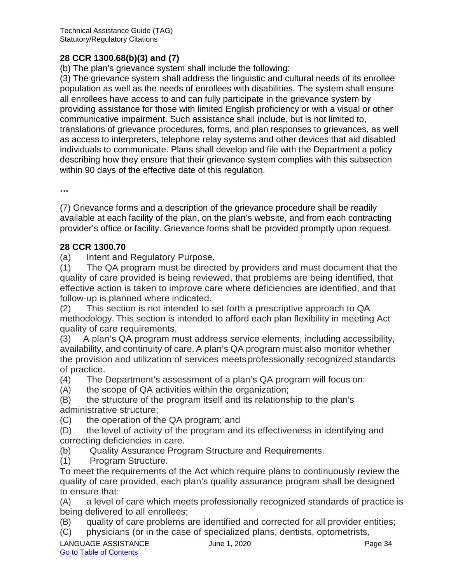#### **28 CCR 1300.68(b)(3) and (7)**

(b) The plan's grievance system shall include the following:

(3) The grievance system shall address the linguistic and cultural needs of its enrollee population as well as the needs of enrollees with disabilities. The system shall ensure all enrollees have access to and can fully participate in the grievance system by providing assistance for those with limited English proficiency or with a visual or other communicative impairment. Such assistance shall include, but is not limited to, translations of grievance procedures, forms, and plan responses to grievances, as well as access to interpreters, telephone relay systems and other devices that aid disabled individuals to communicate. Plans shall develop and file with the Department a policy describing how they ensure that their grievance system complies with this subsection within 90 days of the effective date of this regulation.

**…**

(7) Grievance forms and a description of the grievance procedure shall be readily available at each facility of the plan, on the plan's website, and from each contracting provider's office or facility. Grievance forms shall be provided promptly upon request.

#### **28 CCR 1300.70**

(a) Intent and Regulatory Purpose.

(1) The QA program must be directed by providers and must document that the quality of care provided is being reviewed, that problems are being identified, that effective action is taken to improve care where deficiencies are identified, and that follow-up is planned where indicated.

(2) This section is not intended to set forth a prescriptive approach to QA methodology. This section is intended to afford each plan flexibility in meeting Act quality of care requirements.

(3) A plan's QA program must address service elements, including accessibility, availability, and continuity of care. A plan's QA program must also monitor whether the provision and utilization of services meetsprofessionally recognized standards of practice.

(4) The Department's assessment of a plan's QA program will focus on:

(A) the scope of QA activities within the organization;

(B) the structure of the program itself and its relationship to the plan's administrative structure;

(C) the operation of the QA program; and

(D) the level of activity of the program and its effectiveness in identifying and correcting deficiencies in care.

(b) Quality Assurance Program Structure and Requirements.

(1) Program Structure.

To meet the requirements of the Act which require plans to continuously review the quality of care provided, each plan's quality assurance program shall be designed to ensure that:

(A) a level of care which meets professionally recognized standards of practice is being delivered to all enrollees;

(B) quality of care problems are identified and corrected for all provider entities;

(C) physicians (or in the case of specialized plans, dentists, optometrists,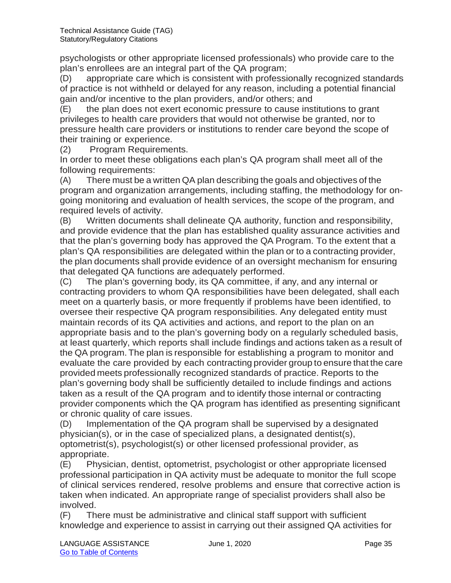psychologists or other appropriate licensed professionals) who provide care to the plan's enrollees are an integral part of the QA program;

(D) appropriate care which is consistent with professionally recognized standards of practice is not withheld or delayed for any reason, including a potential financial gain and/or incentive to the plan providers, and/or others; and

(E) the plan does not exert economic pressure to cause institutions to grant privileges to health care providers that would not otherwise be granted, nor to pressure health care providers or institutions to render care beyond the scope of their training or experience.

(2) Program Requirements.

In order to meet these obligations each plan's QA program shall meet all of the following requirements:

(A) There must be a written QA plan describing the goals and objectives of the program and organization arrangements, including staffing, the methodology for ongoing monitoring and evaluation of health services, the scope of the program, and required levels of activity.

(B) Written documents shall delineate QA authority, function and responsibility, and provide evidence that the plan has established quality assurance activities and that the plan's governing body has approved the QA Program. To the extent that a plan's QA responsibilities are delegated within the plan or to a contracting provider, the plan documents shall provide evidence of an oversight mechanism for ensuring that delegated QA functions are adequately performed.

(C) The plan's governing body, its QA committee, if any, and any internal or contracting providers to whom QA responsibilities have been delegated, shall each meet on a quarterly basis, or more frequently if problems have been identified, to oversee their respective QA program responsibilities. Any delegated entity must maintain records of its QA activities and actions, and report to the plan on an appropriate basis and to the plan's governing body on a regularly scheduled basis, at least quarterly, which reports shall include findings and actions taken as a result of the QA program.The plan is responsible for establishing a program to monitor and evaluate the care provided by each contracting provider group to ensure that the care provided meets professionally recognized standards of practice. Reports to the plan's governing body shall be sufficiently detailed to include findings and actions taken as a result of the QA program and to identify those internal or contracting provider components which the QA program has identified as presenting significant or chronic quality of care issues.

(D) Implementation of the QA program shall be supervised by a designated physician(s), or in the case of specialized plans, a designated dentist(s), optometrist(s), psychologist(s) or other licensed professional provider, as appropriate.

(E) Physician, dentist, optometrist, psychologist or other appropriate licensed professional participation in QA activity must be adequate to monitor the full scope of clinical services rendered, resolve problems and ensure that corrective action is taken when indicated. An appropriate range of specialist providers shall also be involved.

(F) There must be administrative and clinical staff support with sufficient knowledge and experience to assist in carrying out their assigned QA activities for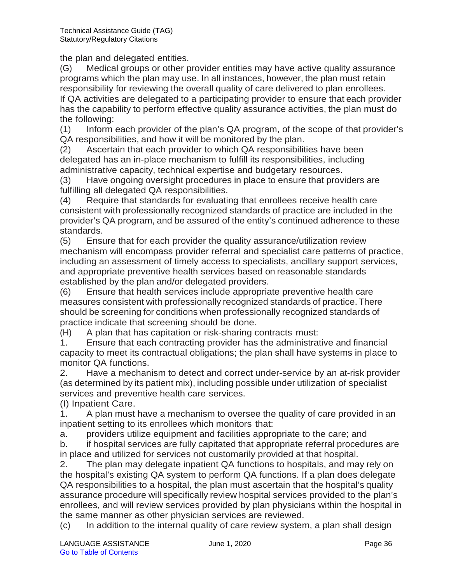the plan and delegated entities.

(G) Medical groups or other provider entities may have active quality assurance programs which the plan may use. In all instances, however, the plan must retain responsibility for reviewing the overall quality of care delivered to plan enrollees. If QA activities are delegated to a participating provider to ensure that each provider has the capability to perform effective quality assurance activities, the plan must do the following:

(1) Inform each provider of the plan's QA program, of the scope of that provider's QA responsibilities, and how it will be monitored by the plan.

(2) Ascertain that each provider to which QA responsibilities have been delegated has an in-place mechanism to fulfill its responsibilities, including administrative capacity, technical expertise and budgetary resources.

(3) Have ongoing oversight procedures in place to ensure that providers are fulfilling all delegated QA responsibilities.

(4) Require that standards for evaluating that enrollees receive health care consistent with professionally recognized standards of practice are included in the provider's QA program, and be assured of the entity's continued adherence to these standards.

(5) Ensure that for each provider the quality assurance/utilization review mechanism will encompass provider referral and specialist care patterns of practice, including an assessment of timely access to specialists, ancillary support services, and appropriate preventive health services based on reasonable standards established by the plan and/or delegated providers.

(6) Ensure that health services include appropriate preventive health care measures consistent with professionally recognized standards of practice.There should be screening for conditions when professionally recognized standards of practice indicate that screening should be done.

(H) A plan that has capitation or risk-sharing contracts must:

1. Ensure that each contracting provider has the administrative and financial capacity to meet its contractual obligations; the plan shall have systems in place to monitor QA functions.

2. Have a mechanism to detect and correct under-service by an at-risk provider (as determined by its patient mix), including possible under utilization of specialist services and preventive health care services.

(I) Inpatient Care.

1. A plan must have a mechanism to oversee the quality of care provided in an inpatient setting to its enrollees which monitors that:

a. providers utilize equipment and facilities appropriate to the care; and

b. if hospital services are fully capitated that appropriate referral procedures are in place and utilized for services not customarily provided at that hospital.

2. The plan may delegate inpatient QA functions to hospitals, and may rely on the hospital's existing QA system to perform QA functions. If a plan does delegate QA responsibilities to a hospital, the plan must ascertain that the hospital's quality assurance procedure will specifically review hospital services provided to the plan's enrollees, and will review services provided by plan physicians within the hospital in the same manner as other physician services are reviewed.

(c) In addition to the internal quality of care review system, a plan shall design